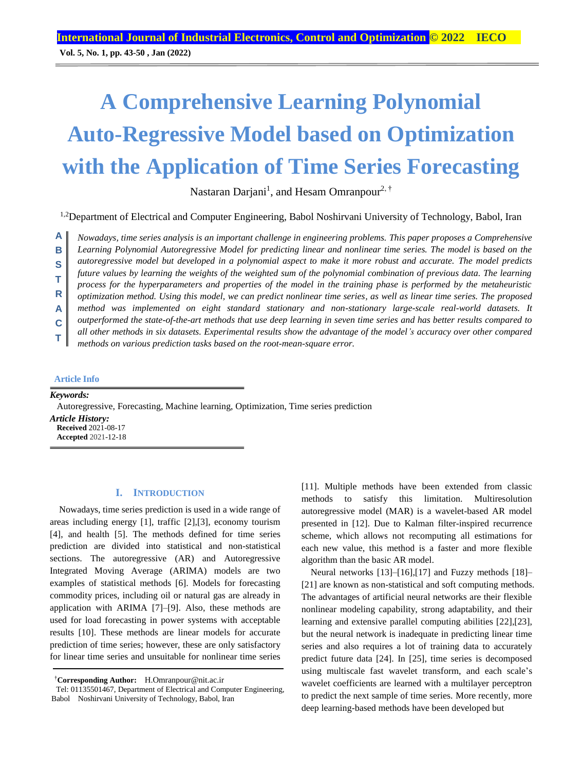**Vol. 5, No. 1, pp. 43-50 , Jan (2022)**

# **A Comprehensive Learning Polynomial Auto-Regressive Model based on Optimization with the Application of Time Series Forecasting**

Nastaran Darjani<sup>1</sup>, and Hesam Omranpour<sup>2, †</sup>

<sup>1,2</sup>Department of Electrical and Computer Engineering, Babol Noshirvani University of Technology, Babol, Iran

*Nowadays, time series analysis is an important challenge in engineering problems. This paper proposes a Comprehensive*  **A**

*Learning Polynomial Autoregressive Model for predicting linear and nonlinear time series. The model is based on the*  **B**

*autoregressive model but developed in a polynomial aspect to make it more robust and accurate. The model predicts*  **S**

*future values by learning the weights of the weighted sum of the polynomial combination of previous data. The learning*  **T**

*process for the hyperparameters and properties of the model in the training phase is performed by the metaheuristic*  **R**

*optimization method. Using this model, we can predict nonlinear time series, as well as linear time series. The proposed method was implemented on eight standard stationary and non-stationary large-scale real-world datasets. It*

*outperformed the state-of-the-art methods that use deep learning in seven time series and has better results compared to* **A**

*all other methods in six datasets. Experimental results show the advantage of the model's accuracy over other compared*  **C**

*methods on various prediction tasks based on the root-mean-square error.* **T**

## **Article Info**

*Keywords:*

Autoregressive, Forecasting, Machine learning, Optimization, Time series prediction

*Article History:* **Received** 2021-08-17 **Accepted** 2021-12-18

#### **I. INTRODUCTION**

Nowadays, time series prediction is used in a wide range of areas including energy [1], traffic [2],[3], economy tourism [4], and health [5]. The methods defined for time series prediction are divided into statistical and non-statistical sections. The autoregressive (AR) and Autoregressive Integrated Moving Average (ARIMA) models are two examples of statistical methods [6]. Models for forecasting commodity prices, including oil or natural gas are already in application with ARIMA [7]–[9]. Also, these methods are used for load forecasting in power systems with acceptable results [10]. These methods are linear models for accurate prediction of time series; however, these are only satisfactory for linear time series and unsuitable for nonlinear time series

†**Corresponding Author:** H.Omranpour@nit.ac.ir

Tel: 01135501467, Department of Electrical and Computer Engineering, Babol Noshirvani University of Technology, Babol, Iran

[11]. Multiple methods have been extended from classic methods to satisfy this limitation. Multiresolution autoregressive model (MAR) is a wavelet-based AR model presented in [12]. Due to Kalman filter-inspired recurrence scheme, which allows not recomputing all estimations for each new value, this method is a faster and more flexible algorithm than the basic AR model.

Neural networks [13]–[16],[17] and Fuzzy methods [18]– [21] are known as non-statistical and soft computing methods. The advantages of artificial neural networks are their flexible nonlinear modeling capability, strong adaptability, and their learning and extensive parallel computing abilities [22],[23], but the neural network is inadequate in predicting linear time series and also requires a lot of training data to accurately predict future data [24]. In [25], time series is decomposed using multiscale fast wavelet transform, and each scale's wavelet coefficients are learned with a multilayer perceptron to predict the next sample of time series. More recently, more deep learning-based methods have been developed but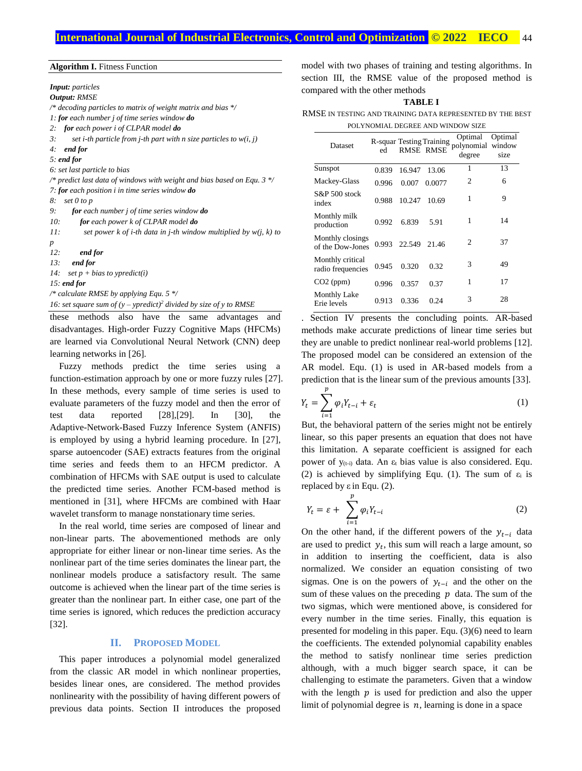#### **Algorithm I.** Fitness Function

*Input: particles Output: RMSE /\* decoding particles to matrix of weight matrix and bias \*/ 1: for each number j of time series window do 2: for each power i of CLPAR model do 3: set i-th particle from j-th part with n size particles to w(i, j) 4: end for 5: end for 6: set last particle to bias /\* predict last data of windows with weight and bias based on Equ. 3 \*/ 7: for each position i in time series window do 8: set 0 to p*

- *9: for each number j of time series window do*
- *10: for each power k of CLPAR model do*
- *11: set power k of i-th data in j-th window multiplied by w(j, k) to p*
- *12: end for*
- *13: end for*
- *14: set p + bias to ypredict(i)*

*15: end for*

*/\* calculate RMSE by applying Equ. 5 \*/*

*16: set square sum of (y – ypredict)<sup>2</sup> divided by size of y to RMSE*

these methods also have the same advantages and disadvantages. High-order Fuzzy Cognitive Maps (HFCMs) are learned via Convolutional Neural Network (CNN) deep learning networks in [26].

Fuzzy methods predict the time series using a function-estimation approach by one or more fuzzy rules [27]. In these methods, every sample of time series is used to evaluate parameters of the fuzzy model and then the error of test data reported [28],[29]. In [30], the Adaptive-Network-Based Fuzzy Inference System (ANFIS) is employed by using a hybrid learning procedure. In [27], sparse autoencoder (SAE) extracts features from the original time series and feeds them to an HFCM predictor. A combination of HFCMs with SAE output is used to calculate the predicted time series. Another FCM-based method is mentioned in [31], where HFCMs are combined with Haar wavelet transform to manage nonstationary time series.

In the real world, time series are composed of linear and non-linear parts. The abovementioned methods are only appropriate for either linear or non-linear time series. As the nonlinear part of the time series dominates the linear part, the nonlinear models produce a satisfactory result. The same outcome is achieved when the linear part of the time series is greater than the nonlinear part. In either case, one part of the time series is ignored, which reduces the prediction accuracy [32].

## **II. PROPOSED MODEL**

This paper introduces a polynomial model generalized from the classic AR model in which nonlinear properties, besides linear ones, are considered. The method provides nonlinearity with the possibility of having different powers of previous data points. Section II introduces the proposed model with two phases of training and testing algorithms. In section III, the RMSE value of the proposed method is compared with the other methods

#### **TABLE I**

RMSE IN TESTING AND TRAINING DATA REPRESENTED BY THE BEST POLYNOMIAL DEGREE AND WINDOW SIZE

| Dataset                               | ed    |        | R-squar Testing Training<br><b>RMSE RMSE</b> | Optimal<br>polynomial window<br>degree | Optimal<br>size |
|---------------------------------------|-------|--------|----------------------------------------------|----------------------------------------|-----------------|
| Sunspot                               | 0.839 | 16.947 | 13.06                                        | 1                                      | 13              |
| Mackey-Glass                          | 0.996 | 0.007  | 0.0077                                       | $\overline{c}$                         | 6               |
| $S\&P 500$ stock<br>index             | 0.988 | 10.247 | 10.69                                        | 1                                      | 9               |
| Monthly milk<br>production            | 0.992 | 6.839  | 5.91                                         | 1                                      | 14              |
| Monthly closings<br>of the Dow-Jones  | 0.993 | 22.549 | 21.46                                        | $\mathcal{D}_{\mathcal{L}}$            | 37              |
| Monthly critical<br>radio frequencies | 0.945 | 0.320  | 0.32                                         | 3                                      | 49              |
| $CO2$ (ppm)                           | 0.996 | 0.357  | 0.37                                         | 1                                      | 17              |
| <b>Monthly Lake</b><br>Erie levels    | 0.913 | 0.336  | 0.24                                         | 3                                      | 28              |

. Section IV presents the concluding points. AR-based methods make accurate predictions of linear time series but they are unable to predict nonlinear real-world problems [12]. The proposed model can be considered an extension of the AR model. Equ. (1) is used in AR-based models from a prediction that is the linear sum of the previous amounts [33].

$$
Y_t = \sum_{i=1}^p \varphi_i Y_{t-i} + \varepsilon_t \tag{1}
$$

But, the behavioral pattern of the series might not be entirely linear, so this paper presents an equation that does not have this limitation. A separate coefficient is assigned for each power of  $y_{(t-i)}$  data. An  $\varepsilon_t$  bias value is also considered. Equ. (2) is achieved by simplifying Equ. (1). The sum of  $\varepsilon_i$  is replaced by  $ε$  in Equ. (2).

$$
Y_t = \varepsilon + \sum_{i=1}^p \varphi_i Y_{t-i} \tag{2}
$$

On the other hand, if the different powers of the  $y_{t-i}$  data are used to predict  $y_t$ , this sum will reach a large amount, so in addition to inserting the coefficient, data is also normalized. We consider an equation consisting of two sigmas. One is on the powers of  $y_{t-i}$  and the other on the sum of these values on the preceding  $p$  data. The sum of the two sigmas, which were mentioned above, is considered for every number in the time series. Finally, this equation is presented for modeling in this paper. Equ[. \(3\)\(6\)](#page-2-0) need to learn the coefficients. The extended polynomial capability enables the method to satisfy nonlinear time series prediction although, with a much bigger search space, it can be challenging to estimate the parameters. Given that a window with the length  $p$  is used for prediction and also the upper limit of polynomial degree is  $n$ , learning is done in a space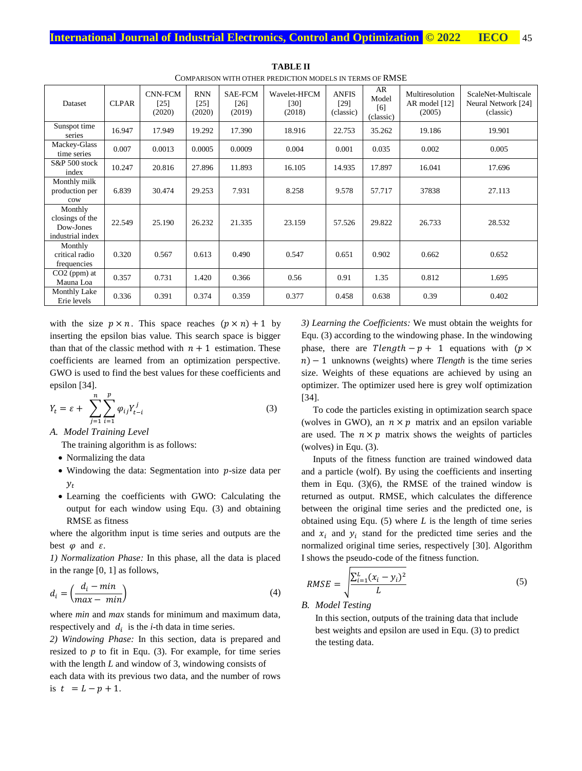| COME ARISON WITH OTHER EREDICTION MODELS IN TERMS OF RIVIDE |              |                                    |                                |                                  |                                |                                   |                                 |                                            |                                                         |  |  |
|-------------------------------------------------------------|--------------|------------------------------------|--------------------------------|----------------------------------|--------------------------------|-----------------------------------|---------------------------------|--------------------------------------------|---------------------------------------------------------|--|--|
| Dataset                                                     | <b>CLPAR</b> | <b>CNN-FCM</b><br>$[25]$<br>(2020) | <b>RNN</b><br>$[25]$<br>(2020) | <b>SAE-FCM</b><br>[26]<br>(2019) | Wavelet-HFCM<br>[30]<br>(2018) | <b>ANFIS</b><br>[29]<br>(classic) | AR<br>Model<br>[6]<br>(classic) | Multiresolution<br>AR model [12]<br>(2005) | ScaleNet-Multiscale<br>Neural Network [24]<br>(classic) |  |  |
| Sunspot time<br>series                                      | 16.947       | 17.949                             | 19.292                         | 17.390                           | 18.916                         | 22.753                            | 35.262                          | 19.186                                     | 19.901                                                  |  |  |
| Mackey-Glass<br>time series                                 | 0.007        | 0.0013                             | 0.0005                         | 0.0009                           | 0.004                          | 0.001                             | 0.035                           | 0.002                                      | 0.005                                                   |  |  |
| S&P 500 stock<br>index                                      | 10.247       | 20.816                             | 27.896                         | 11.893                           | 16.105                         | 14.935                            | 17.897                          | 16.041                                     | 17.696                                                  |  |  |
| Monthly milk<br>production per<br>cow                       | 6.839        | 30.474                             | 29.253                         | 7.931                            | 8.258                          | 9.578                             | 57.717                          | 37838                                      | 27.113                                                  |  |  |
| Monthly<br>closings of the<br>Dow-Jones<br>industrial index | 22.549       | 25.190                             | 26.232                         | 21.335                           | 23.159                         | 57.526                            | 29.822                          | 26.733                                     | 28.532                                                  |  |  |
| Monthly<br>critical radio<br>frequencies                    | 0.320        | 0.567                              | 0.613                          | 0.490                            | 0.547                          | 0.651                             | 0.902                           | 0.662                                      | 0.652                                                   |  |  |
| $CO2$ (ppm) at<br>Mauna Loa                                 | 0.357        | 0.731                              | 1.420                          | 0.366                            | 0.56                           | 0.91                              | 1.35                            | 0.812                                      | 1.695                                                   |  |  |
| <b>Monthly Lake</b><br>Erie levels                          | 0.336        | 0.391                              | 0.374                          | 0.359                            | 0.377                          | 0.458                             | 0.638                           | 0.39                                       | 0.402                                                   |  |  |

**TABLE II** COMPARISON WITH OTHER PREDICTION MODELS IN TERMS OF RMSE

with the size  $p \times n$ . This space reaches  $(p \times n) + 1$  by inserting the epsilon bias value. This search space is bigger than that of the classic method with  $n + 1$  estimation. These coefficients are learned from an optimization perspective. GWO is used to find the best values for these coefficients and epsilon [34].

$$
Y_t = \varepsilon + \sum_{j=1}^n \sum_{i=1}^p \varphi_{ij} Y_{t-i}^j
$$
 (3)

*A. Model Training Level*

The training algorithm is as follows:

- Normalizing the data
- $\bullet$  Windowing the data: Segmentation into  $p$ -size data per  $y_t$
- Learning the coefficients with GWO: Calculating the output for each window using Equ. [\(3\)](#page-2-0) and obtaining RMSE as fitness

where the algorithm input is time series and outputs are the best  $\varphi$  and  $\varepsilon$ .

*1) Normalization Phase:* In this phase, all the data is placed in the range [0, 1] as follows,

$$
d_i = \left(\frac{d_i - \min}{\max - \min}\right) \tag{4}
$$

where *min* and *max* stands for minimum and maximum data, respectively and  $d_i$  is the *i*-th data in time series.

*2) Windowing Phase:* In this section, data is prepared and resized to *p* to fit in Equ. [\(3\).](#page-2-0) For example, for time series with the length *L* and window of 3, windowing consists of each data with its previous two data, and the number of rows is  $t = L - p + 1$ .

*3) Learning the Coefficients:* We must obtain the weights for Equ[. \(3\)](#page-2-0) according to the windowing phase. In the windowing phase, there are  $T length - p + 1$  equations with ( $p \times$ ) − 1 unknowns (weights) where *Tlength* is the time series size. Weights of these equations are achieved by using an optimizer. The optimizer used here is grey wolf optimization [34].

<span id="page-2-0"></span>To code the particles existing in optimization search space (wolves in GWO), an  $n \times p$  matrix and an epsilon variable are used. The  $n \times p$  matrix shows the weights of particles (wolves) in Equ[. \(3\).](#page-2-0)

Inputs of the fitness function are trained windowed data and a particle (wolf). By using the coefficients and inserting them in Equ. [\(3\)\(6\),](#page-2-0) the RMSE of the trained window is returned as output. RMSE, which calculates the difference between the original time series and the predicted one, is obtained using Equ. [\(5\)](#page-2-1) where *L* is the length of time series and  $x_i$  and  $y_i$  stand for the predicted time series and the normalized original time series, respectively [30]. Algorithm I shows the pseudo-code of the fitness function.

$$
RMSE = \sqrt{\frac{\sum_{i=1}^{L} (x_i - y_i)^2}{L}}
$$
(5)

## *B. Model Testing*

<span id="page-2-1"></span>In this section, outputs of the training data that include best weights and epsilon are used in Equ. (3) to predict the testing data.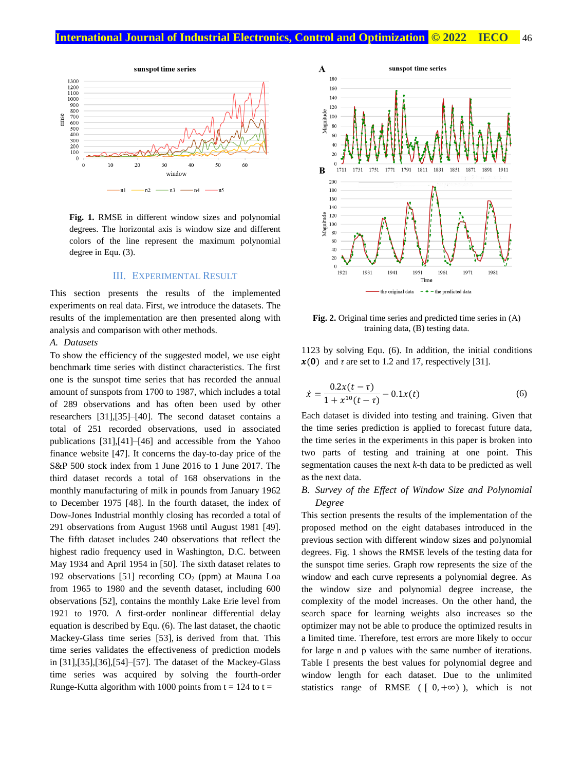

**Fig. 1.** RMSE in different window sizes and polynomial degrees. The horizontal axis is window size and different colors of the line represent the maximum polynomial degree in Equ. (3).

## III. EXPERIMENTAL RESULT

This section presents the results of the implemented experiments on real data. First, we introduce the datasets. The results of the implementation are then presented along with analysis and comparison with other methods.

## *A. Datasets*

To show the efficiency of the suggested model, we use eight benchmark time series with distinct characteristics. The first one is the sunspot time series that has recorded the annual amount of sunspots from 1700 to 1987, which includes a total of 289 observations and has often been used by other researchers [31],[35]–[40]. The second dataset contains a total of 251 recorded observations, used in associated publications [31],[41]–[46] and accessible from the Yahoo finance website [47]. It concerns the day-to-day price of the S&P 500 stock index from 1 June 2016 to 1 June 2017. The third dataset records a total of 168 observations in the monthly manufacturing of milk in pounds from January 1962 to December 1975 [48]. In the fourth dataset, the index of Dow-Jones Industrial monthly closing has recorded a total of 291 observations from August 1968 until August 1981 [49]. The fifth dataset includes 240 observations that reflect the highest radio frequency used in Washington, D.C. between May 1934 and April 1954 in [50]. The sixth dataset relates to 192 observations [51] recording  $CO<sub>2</sub>$  (ppm) at Mauna Loa from 1965 to 1980 and the seventh dataset, including 600 observations [52], contains the monthly Lake Erie level from 1921 to 1970. A first-order nonlinear differential delay equation is described by Equ. (6). The last dataset, the chaotic Mackey-Glass time series [53], is derived from that. This time series validates the effectiveness of prediction models in [31],[35],[36],[54]–[57]. The dataset of the Mackey-Glass time series was acquired by solving the fourth-order Runge-Kutta algorithm with 1000 points from  $t = 124$  to  $t =$ 



**Fig. 2.** Original time series and predicted time series in (A) training data, (B) testing data.

1123 by solving Equ. [\(6\).](#page-3-0) In addition, the initial conditions  $\mathbf{x(0)}$  and  $\tau$  are set to 1.2 and 17, respectively [31].

<span id="page-3-0"></span>
$$
\dot{x} = \frac{0.2x(t-\tau)}{1+x^{10}(t-\tau)} - 0.1x(t)
$$
\n(6)

Each dataset is divided into testing and training. Given that the time series prediction is applied to forecast future data, the time series in the experiments in this paper is broken into two parts of testing and training at one point. This segmentation causes the next *k*-th data to be predicted as well as the next data.

# *B. Survey of the Effect of Window Size and Polynomial Degree*

This section presents the results of the implementation of the proposed method on the eight databases introduced in the previous section with different window sizes and polynomial degrees. Fig. 1 shows the RMSE levels of the testing data for the sunspot time series. Graph row represents the size of the window and each curve represents a polynomial degree. As the window size and polynomial degree increase, the complexity of the model increases. On the other hand, the search space for learning weights also increases so the optimizer may not be able to produce the optimized results in a limited time. Therefore, test errors are more likely to occur for large n and p values with the same number of iterations. Table I presents the best values for polynomial degree and window length for each dataset. Due to the unlimited statistics range of RMSE ( $[0, +\infty)$ ), which is not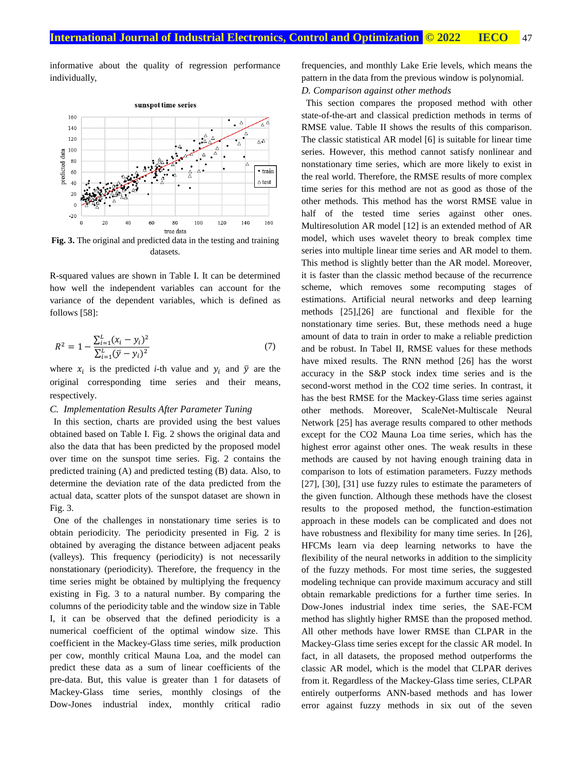informative about the quality of regression performance individually,



**Fig. 3.** The original and predicted data in the testing and training datasets.

R-squared values are shown in Table I. It can be determined how well the independent variables can account for the variance of the dependent variables, which is defined as follows [58]:

$$
R^{2} = 1 - \frac{\sum_{i=1}^{L} (x_{i} - y_{i})^{2}}{\sum_{i=1}^{L} (\bar{y} - y_{i})^{2}}
$$
(7)

where  $x_i$  is the predicted *i*-th value and  $y_i$  and  $\bar{y}$  are the original corresponding time series and their means, respectively.

#### *C. Implementation Results After Parameter Tuning*

In this section, charts are provided using the best values obtained based on Table I. Fig. 2 shows the original data and also the data that has been predicted by the proposed model over time on the sunspot time series. Fig. 2 contains the predicted training (A) and predicted testing (B) data. Also, to determine the deviation rate of the data predicted from the actual data, scatter plots of the sunspot dataset are shown in Fig. 3.

One of the challenges in nonstationary time series is to obtain periodicity. The periodicity presented in Fig. 2 is obtained by averaging the distance between adjacent peaks (valleys). This frequency (periodicity) is not necessarily nonstationary (periodicity). Therefore, the frequency in the time series might be obtained by multiplying the frequency existing in Fig. 3 to a natural number. By comparing the columns of the periodicity table and the window size in Table I, it can be observed that the defined periodicity is a numerical coefficient of the optimal window size. This coefficient in the Mackey-Glass time series, milk production per cow, monthly critical Mauna Loa, and the model can predict these data as a sum of linear coefficients of the pre-data. But, this value is greater than 1 for datasets of Mackey-Glass time series, monthly closings of the Dow-Jones industrial index, monthly critical radio frequencies, and monthly Lake Erie levels, which means the pattern in the data from the previous window is polynomial.

*D. Comparison against other methods*

This section compares the proposed method with other state-of-the-art and classical prediction methods in terms of RMSE value. Table II shows the results of this comparison. The classic statistical AR model [6] is suitable for linear time series. However, this method cannot satisfy nonlinear and nonstationary time series, which are more likely to exist in the real world. Therefore, the RMSE results of more complex time series for this method are not as good as those of the other methods. This method has the worst RMSE value in half of the tested time series against other ones. Multiresolution AR model [12] is an extended method of AR model, which uses wavelet theory to break complex time series into multiple linear time series and AR model to them. This method is slightly better than the AR model. Moreover, it is faster than the classic method because of the recurrence scheme, which removes some recomputing stages of estimations. Artificial neural networks and deep learning methods [25],[26] are functional and flexible for the nonstationary time series. But, these methods need a huge amount of data to train in order to make a reliable prediction and be robust. In Tabel II, RMSE values for these methods have mixed results. The RNN method [26] has the worst accuracy in the S&P stock index time series and is the second-worst method in the CO2 time series. In contrast, it has the best RMSE for the Mackey-Glass time series against other methods. Moreover, ScaleNet-Multiscale Neural Network [25] has average results compared to other methods except for the CO2 Mauna Loa time series, which has the highest error against other ones. The weak results in these methods are caused by not having enough training data in comparison to lots of estimation parameters. Fuzzy methods [27], [30], [31] use fuzzy rules to estimate the parameters of the given function. Although these methods have the closest results to the proposed method, the function-estimation approach in these models can be complicated and does not have robustness and flexibility for many time series. In [26], HFCMs learn via deep learning networks to have the flexibility of the neural networks in addition to the simplicity of the fuzzy methods. For most time series, the suggested modeling technique can provide maximum accuracy and still obtain remarkable predictions for a further time series. In Dow-Jones industrial index time series, the SAE-FCM method has slightly higher RMSE than the proposed method. All other methods have lower RMSE than CLPAR in the Mackey-Glass time series except for the classic AR model. In fact, in all datasets, the proposed method outperforms the classic AR model, which is the model that CLPAR derives from it. Regardless of the Mackey-Glass time series, CLPAR entirely outperforms ANN-based methods and has lower error against fuzzy methods in six out of the seven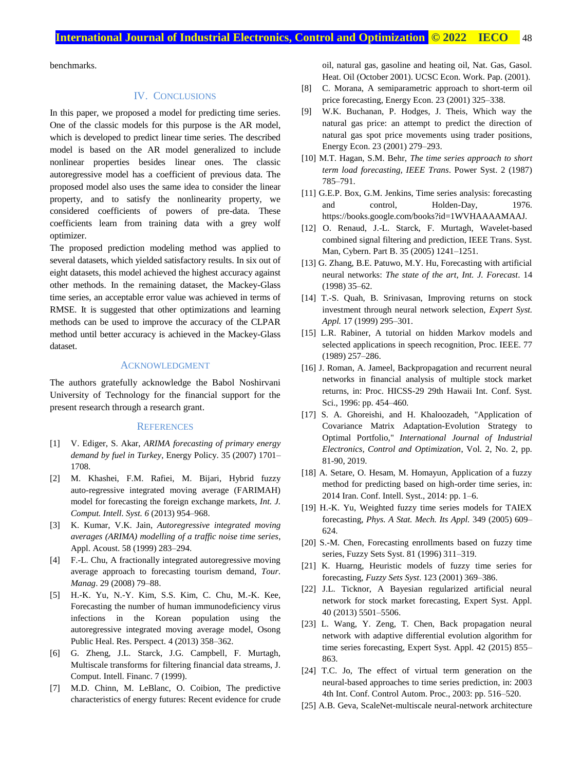benchmarks.

# IV. CONCLUSIONS

In this paper, we proposed a model for predicting time series. One of the classic models for this purpose is the AR model, which is developed to predict linear time series. The described model is based on the AR model generalized to include nonlinear properties besides linear ones. The classic autoregressive model has a coefficient of previous data. The proposed model also uses the same idea to consider the linear property, and to satisfy the nonlinearity property, we considered coefficients of powers of pre-data. These coefficients learn from training data with a grey wolf optimizer.

The proposed prediction modeling method was applied to several datasets, which yielded satisfactory results. In six out of eight datasets, this model achieved the highest accuracy against other methods. In the remaining dataset, the Mackey-Glass time series, an acceptable error value was achieved in terms of RMSE. It is suggested that other optimizations and learning methods can be used to improve the accuracy of the CLPAR method until better accuracy is achieved in the Mackey-Glass dataset.

#### ACKNOWLEDGMENT

The authors gratefully acknowledge the Babol Noshirvani University of Technology for the financial support for the present research through a research grant.

#### **REFERENCES**

- [1] V. Ediger, S. Akar, *ARIMA forecasting of primary energy demand by fuel in Turkey*, Energy Policy. 35 (2007) 1701– 1708.
- [2] M. Khashei, F.M. Rafiei, M. Bijari, Hybrid fuzzy auto-regressive integrated moving average (FARIMAH) model for forecasting the foreign exchange markets, *Int. J. Comput. Intell. Syst. 6* (2013) 954–968.
- [3] K. Kumar, V.K. Jain, *Autoregressive integrated moving averages (ARIMA) modelling of a traffic noise time series*, Appl. Acoust. 58 (1999) 283–294.
- [4] F.-L. Chu, A fractionally integrated autoregressive moving average approach to forecasting tourism demand, *Tour. Manag*. 29 (2008) 79–88.
- [5] H.-K. Yu, N.-Y. Kim, S.S. Kim, C. Chu, M.-K. Kee, Forecasting the number of human immunodeficiency virus infections in the Korean population using the autoregressive integrated moving average model, Osong Public Heal. Res. Perspect. 4 (2013) 358–362.
- [6] G. Zheng, J.L. Starck, J.G. Campbell, F. Murtagh, Multiscale transforms for filtering financial data streams, J. Comput. Intell. Financ. 7 (1999).
- [7] M.D. Chinn, M. LeBlanc, O. Coibion, The predictive characteristics of energy futures: Recent evidence for crude

oil, natural gas, gasoline and heating oil, Nat. Gas, Gasol. Heat. Oil (October 2001). UCSC Econ. Work. Pap. (2001).

- [8] C. Morana, A semiparametric approach to short-term oil price forecasting, Energy Econ. 23 (2001) 325–338.
- [9] W.K. Buchanan, P. Hodges, J. Theis, Which way the natural gas price: an attempt to predict the direction of natural gas spot price movements using trader positions, Energy Econ. 23 (2001) 279–293.
- [10] M.T. Hagan, S.M. Behr, *The time series approach to short term load forecasting, IEEE Trans*. Power Syst. 2 (1987) 785–791.
- [11] G.E.P. Box, G.M. Jenkins, Time series analysis: forecasting and control, Holden-Day, 1976. https://books.google.com/books?id=1WVHAAAAMAAJ.
- [12] O. Renaud, J.-L. Starck, F. Murtagh, Wavelet-based combined signal filtering and prediction, IEEE Trans. Syst. Man, Cybern. Part B. 35 (2005) 1241–1251.
- [13] G. Zhang, B.E. Patuwo, M.Y. Hu, Forecasting with artificial neural networks: *The state of the art, Int. J. Forecast*. 14 (1998) 35–62.
- [14] T.-S. Quah, B. Srinivasan, Improving returns on stock investment through neural network selection, *Expert Syst. Appl.* 17 (1999) 295–301.
- [15] L.R. Rabiner, A tutorial on hidden Markov models and selected applications in speech recognition, Proc. IEEE. 77 (1989) 257–286.
- [16] J. Roman, A. Jameel, Backpropagation and recurrent neural networks in financial analysis of multiple stock market returns, in: Proc. HICSS-29 29th Hawaii Int. Conf. Syst. Sci., 1996: pp. 454–460.
- [17] S. A. Ghoreishi, and H. Khaloozadeh, "Application of Covariance Matrix Adaptation-Evolution Strategy to Optimal Portfolio," *International Journal of Industrial Electronics, Control and Optimization*, Vol. 2, No. 2, pp. 81-90, 2019.
- [18] A. Setare, O. Hesam, M. Homayun, Application of a fuzzy method for predicting based on high-order time series, in: 2014 Iran. Conf. Intell. Syst., 2014: pp. 1–6.
- [19] H.-K. Yu, Weighted fuzzy time series models for TAIEX forecasting, *Phys. A Stat. Mech. Its Appl.* 349 (2005) 609– 624.
- [20] S.-M. Chen, Forecasting enrollments based on fuzzy time series, Fuzzy Sets Syst. 81 (1996) 311–319.
- [21] K. Huarng, Heuristic models of fuzzy time series for forecasting, *Fuzzy Sets Syst*. 123 (2001) 369–386.
- [22] J.L. Ticknor, A Bayesian regularized artificial neural network for stock market forecasting, Expert Syst. Appl. 40 (2013) 5501–5506.
- [23] L. Wang, Y. Zeng, T. Chen, Back propagation neural network with adaptive differential evolution algorithm for time series forecasting, Expert Syst. Appl. 42 (2015) 855– 863.
- [24] T.C. Jo, The effect of virtual term generation on the neural-based approaches to time series prediction, in: 2003 4th Int. Conf. Control Autom. Proc., 2003: pp. 516–520.
- [25] A.B. Geva, ScaleNet-multiscale neural-network architecture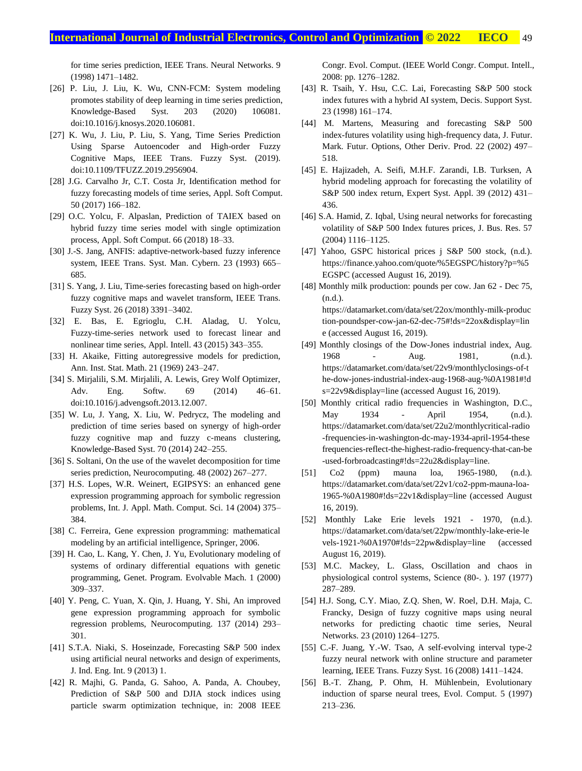for time series prediction, IEEE Trans. Neural Networks. 9 (1998) 1471–1482.

- [26] P. Liu, J. Liu, K. Wu, CNN-FCM: System modeling promotes stability of deep learning in time series prediction, Knowledge-Based Syst. 203 (2020) 106081. doi:10.1016/j.knosys.2020.106081.
- [27] K. Wu, J. Liu, P. Liu, S. Yang, Time Series Prediction Using Sparse Autoencoder and High-order Fuzzy Cognitive Maps, IEEE Trans. Fuzzy Syst. (2019). doi:10.1109/TFUZZ.2019.2956904.
- [28] J.G. Carvalho Jr, C.T. Costa Jr, Identification method for fuzzy forecasting models of time series, Appl. Soft Comput. 50 (2017) 166–182.
- [29] O.C. Yolcu, F. Alpaslan, Prediction of TAIEX based on hybrid fuzzy time series model with single optimization process, Appl. Soft Comput. 66 (2018) 18–33.
- [30] J.-S. Jang, ANFIS: adaptive-network-based fuzzy inference system, IEEE Trans. Syst. Man. Cybern. 23 (1993) 665– 685.
- [31] S. Yang, J. Liu, Time-series forecasting based on high-order fuzzy cognitive maps and wavelet transform, IEEE Trans. Fuzzy Syst. 26 (2018) 3391–3402.
- [32] E. Bas, E. Egrioglu, C.H. Aladag, U. Yolcu, Fuzzy-time-series network used to forecast linear and nonlinear time series, Appl. Intell. 43 (2015) 343–355.
- [33] H. Akaike, Fitting autoregressive models for prediction, Ann. Inst. Stat. Math. 21 (1969) 243–247.
- [34] S. Mirjalili, S.M. Mirjalili, A. Lewis, Grey Wolf Optimizer, Adv. Eng. Softw. 69 (2014) 46–61. doi:10.1016/j.advengsoft.2013.12.007.
- [35] W. Lu, J. Yang, X. Liu, W. Pedrycz, The modeling and prediction of time series based on synergy of high-order fuzzy cognitive map and fuzzy c-means clustering, Knowledge-Based Syst. 70 (2014) 242–255.
- [36] S. Soltani, On the use of the wavelet decomposition for time series prediction, Neurocomputing. 48 (2002) 267–277.
- [37] H.S. Lopes, W.R. Weinert, EGIPSYS: an enhanced gene expression programming approach for symbolic regression problems, Int. J. Appl. Math. Comput. Sci. 14 (2004) 375– 384.
- [38] C. Ferreira, Gene expression programming: mathematical modeling by an artificial intelligence, Springer, 2006.
- [39] H. Cao, L. Kang, Y. Chen, J. Yu, Evolutionary modeling of systems of ordinary differential equations with genetic programming, Genet. Program. Evolvable Mach. 1 (2000) 309–337.
- [40] Y. Peng, C. Yuan, X. Qin, J. Huang, Y. Shi, An improved gene expression programming approach for symbolic regression problems, Neurocomputing. 137 (2014) 293– 301.
- [41] S.T.A. Niaki, S. Hoseinzade, Forecasting S&P 500 index using artificial neural networks and design of experiments, J. Ind. Eng. Int. 9 (2013) 1.
- [42] R. Majhi, G. Panda, G. Sahoo, A. Panda, A. Choubey, Prediction of S&P 500 and DJIA stock indices using particle swarm optimization technique, in: 2008 IEEE

Congr. Evol. Comput. (IEEE World Congr. Comput. Intell., 2008: pp. 1276–1282.

- [43] R. Tsaih, Y. Hsu, C.C. Lai, Forecasting S&P 500 stock index futures with a hybrid AI system, Decis. Support Syst. 23 (1998) 161–174.
- [44] M. Martens, Measuring and forecasting S&P 500 index-futures volatility using high-frequency data, J. Futur. Mark. Futur. Options, Other Deriv. Prod. 22 (2002) 497– 518.
- [45] E. Hajizadeh, A. Seifi, M.H.F. Zarandi, I.B. Turksen, A hybrid modeling approach for forecasting the volatility of S&P 500 index return, Expert Syst. Appl. 39 (2012) 431– 436.
- [46] S.A. Hamid, Z. Iqbal, Using neural networks for forecasting volatility of S&P 500 Index futures prices, J. Bus. Res. 57 (2004) 1116–1125.
- [47] Yahoo, GSPC historical prices j S&P 500 stock, (n.d.). https://finance.yahoo.com/quote/%5EGSPC/history?p=%5 EGSPC (accessed August 16, 2019).
- [48] Monthly milk production: pounds per cow. Jan 62 Dec 75, (n.d.). https://datamarket.com/data/set/22ox/monthly-milk-produc tion-poundsper-cow-jan-62-dec-75#!ds=22ox&display=lin e (accessed August 16, 2019).
- [49] Monthly closings of the Dow-Jones industrial index, Aug. 1968 - Aug. 1981, (n.d.). https://datamarket.com/data/set/22v9/monthlyclosings-of-t he-dow-jones-industrial-index-aug-1968-aug-%0A1981#!d s=22v9&display=line (accessed August 16, 2019).
- [50] Monthly critical radio frequencies in Washington, D.C., May 1934 - April 1954, (n.d.). https://datamarket.com/data/set/22u2/monthlycritical-radio -frequencies-in-washington-dc-may-1934-april-1954-these frequencies-reflect-the-highest-radio-frequency-that-can-be -used-forbroadcasting#!ds=22u2&display=line.
- [51] Co2 (ppm) mauna loa, 1965-1980, (n.d.). https://datamarket.com/data/set/22v1/co2-ppm-mauna-loa-1965-%0A1980#!ds=22v1&display=line (accessed August 16, 2019).
- [52] Monthly Lake Erie levels 1921 1970, (n.d.). https://datamarket.com/data/set/22pw/monthly-lake-erie-le vels-1921-%0A1970#!ds=22pw&display=line (accessed August 16, 2019).
- [53] M.C. Mackey, L. Glass, Oscillation and chaos in physiological control systems, Science (80-. ). 197 (1977) 287–289.
- [54] H.J. Song, C.Y. Miao, Z.Q. Shen, W. Roel, D.H. Maja, C. Francky, Design of fuzzy cognitive maps using neural networks for predicting chaotic time series, Neural Networks. 23 (2010) 1264–1275.
- [55] C.-F. Juang, Y.-W. Tsao, A self-evolving interval type-2 fuzzy neural network with online structure and parameter learning, IEEE Trans. Fuzzy Syst. 16 (2008) 1411–1424.
- [56] B.-T. Zhang, P. Ohm, H. Mühlenbein, Evolutionary induction of sparse neural trees, Evol. Comput. 5 (1997) 213–236.